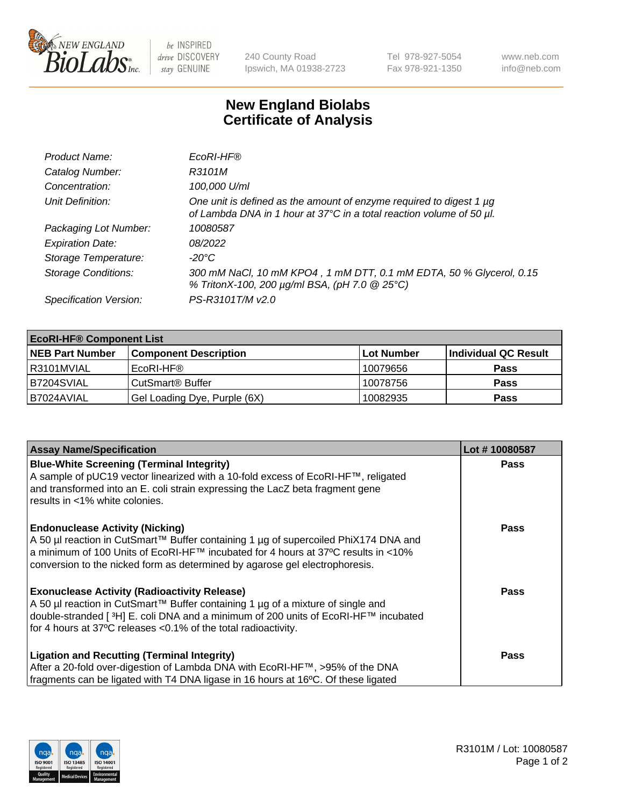

 $be$  INSPIRED drive DISCOVERY stay GENUINE

240 County Road Ipswich, MA 01938-2723 Tel 978-927-5054 Fax 978-921-1350 www.neb.com info@neb.com

## **New England Biolabs Certificate of Analysis**

| Product Name:              | EcoRI-HF®                                                                                                                                   |
|----------------------------|---------------------------------------------------------------------------------------------------------------------------------------------|
| Catalog Number:            | R3101M                                                                                                                                      |
| Concentration:             | 100,000 U/ml                                                                                                                                |
| Unit Definition:           | One unit is defined as the amount of enzyme required to digest 1 µg<br>of Lambda DNA in 1 hour at 37°C in a total reaction volume of 50 µl. |
| Packaging Lot Number:      | 10080587                                                                                                                                    |
| <b>Expiration Date:</b>    | 08/2022                                                                                                                                     |
| Storage Temperature:       | -20°C                                                                                                                                       |
| <b>Storage Conditions:</b> | 300 mM NaCl, 10 mM KPO4, 1 mM DTT, 0.1 mM EDTA, 50 % Glycerol, 0.15<br>% TritonX-100, 200 µg/ml BSA, (pH 7.0 @ 25°C)                        |
| Specification Version:     | PS-R3101T/M v2.0                                                                                                                            |

| <b>EcoRI-HF® Component List</b> |                              |            |                      |  |  |
|---------------------------------|------------------------------|------------|----------------------|--|--|
| <b>NEB Part Number</b>          | <b>Component Description</b> | Lot Number | Individual QC Result |  |  |
| I R3101MVIAL                    | EcoRI-HF®                    | 10079656   | <b>Pass</b>          |  |  |
| IB7204SVIAL                     | CutSmart <sup>®</sup> Buffer | 10078756   | <b>Pass</b>          |  |  |
| B7024AVIAL                      | Gel Loading Dye, Purple (6X) | 10082935   | <b>Pass</b>          |  |  |

| <b>Assay Name/Specification</b>                                                                                                                                                                                                                                                                               | Lot #10080587 |
|---------------------------------------------------------------------------------------------------------------------------------------------------------------------------------------------------------------------------------------------------------------------------------------------------------------|---------------|
| <b>Blue-White Screening (Terminal Integrity)</b><br>A sample of pUC19 vector linearized with a 10-fold excess of EcoRI-HF™, religated<br>and transformed into an E. coli strain expressing the LacZ beta fragment gene                                                                                        | <b>Pass</b>   |
| results in <1% white colonies.                                                                                                                                                                                                                                                                                |               |
| <b>Endonuclease Activity (Nicking)</b><br>A 50 µl reaction in CutSmart™ Buffer containing 1 µg of supercoiled PhiX174 DNA and<br>  a minimum of 100 Units of EcoRI-HF™ incubated for 4 hours at 37°C results in <10%<br>conversion to the nicked form as determined by agarose gel electrophoresis.           | <b>Pass</b>   |
| <b>Exonuclease Activity (Radioactivity Release)</b><br>  A 50 µl reaction in CutSmart™ Buffer containing 1 µg of a mixture of single and<br>double-stranded [ <sup>3</sup> H] E. coli DNA and a minimum of 200 units of EcoRI-HF™ incubated<br>for 4 hours at 37°C releases <0.1% of the total radioactivity. | Pass          |
| <b>Ligation and Recutting (Terminal Integrity)</b>                                                                                                                                                                                                                                                            | <b>Pass</b>   |
| After a 20-fold over-digestion of Lambda DNA with EcoRI-HF™, >95% of the DNA<br>fragments can be ligated with T4 DNA ligase in 16 hours at 16°C. Of these ligated                                                                                                                                             |               |